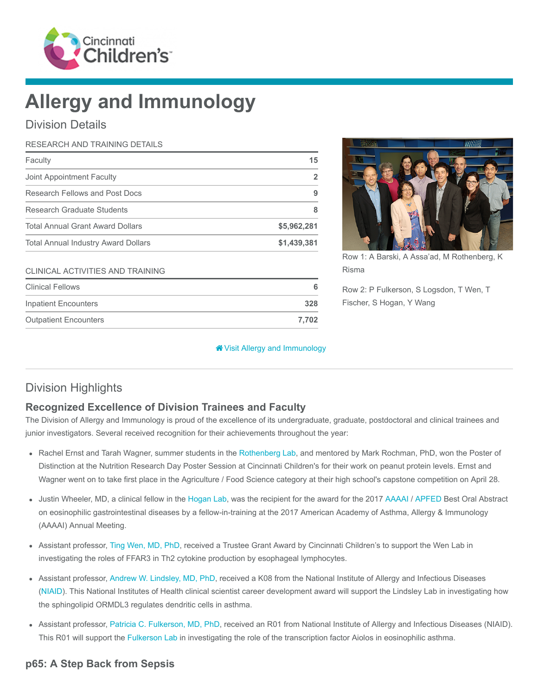

# Allergy and Immunology

Division Details

# RESEARCH AND TRAINING DETAILS

| Faculty                                    | 15          |
|--------------------------------------------|-------------|
| Joint Appointment Faculty                  | 2           |
| Research Fellows and Post Docs             | 9           |
| Research Graduate Students                 | 8           |
| <b>Total Annual Grant Award Dollars</b>    | \$5,962,281 |
| <b>Total Annual Industry Award Dollars</b> | \$1,439,381 |
| CLINICAL ACTIVITIES AND TRAINING           |             |
| <b>Clinical Fellows</b>                    | 6           |

Inpatient Encounters 328 Outpatient Encounters 7,702



Row 1: A Barski, A Assa'ad, M Rothenberg, K Risma

Row 2: P Fulkerson, S Logsdon, T Wen, T Fischer, S Hogan, Y Wang

#### [Visit Allergy and Immunology](https://www.cincinnatichildrens.org/research/divisions/a/allergy-immunology)

# Division Highlights

### Recognized Excellence of Division Trainees and Faculty

The Division of Allergy and Immunology is proud of the excellence of its undergraduate, graduate, postdoctoral and clinical trainees and junior investigators. Several received recognition for their achievements throughout the year:

- Rachel Ernst and Tarah Wagner, summer students in the [Rothenberg Lab](https://www.cincinnatichildrens.org/research/divisions/a/allergy-immunology/labs/rothenberg), and mentored by Mark Rochman, PhD, won the Poster of Distinction at the Nutrition Research Day Poster Session at Cincinnati Children's for their work on peanut protein levels. Ernst and Wagner went on to take first place in the Agriculture / Food Science category at their high school's capstone competition on April 28.
- Justin Wheeler, MD, a clinical fellow in the [Hogan Lab,](https://www.cincinnatichildrens.org/research/divisions/a/allergy-immunology/labs/hogan) was the recipient for the award for the 2017 [AAAAI](https://www.aaaai.org/) / [APFED](http://apfed.org/) Best Oral Abstract on eosinophilic gastrointestinal diseases by a fellow-in-training at the 2017 American Academy of Asthma, Allergy & Immunology (AAAAI) Annual Meeting.
- Assistant professor, [Ting Wen, MD, PhD](https://www.cincinnatichildrens.org/bio/w/ting-wen), received a Trustee Grant Award by Cincinnati Children's to support the Wen Lab in investigating the roles of FFAR3 in Th2 cytokine production by esophageal lymphocytes.
- Assistant professor, [Andrew W. Lindsley, MD, PhD,](https://www.cincinnatichildrens.org/bio/l/andrew-lindsley) received a K08 from the National Institute of Allergy and Infectious Diseases ([NIAID\)](https://www.niaid.nih.gov/). This National Institutes of Health clinical scientist career development award will support the Lindsley Lab in investigating how the sphingolipid ORMDL3 regulates dendritic cells in asthma.
- Assistant professor, [Patricia C. Fulkerson, MD, PhD,](https://www.cincinnatichildrens.org/bio/f/patricia-fulkerson) received an R01 from National Institute of Allergy and Infectious Diseases (NIAID). This R01 will support the [Fulkerson Lab](https://www.cincinnatichildrens.org/research/divisions/a/allergy-immunology/labs/fulkerson) in investigating the role of the transcription factor Aiolos in eosinophilic asthma.

## p65: A Step Back from Sepsis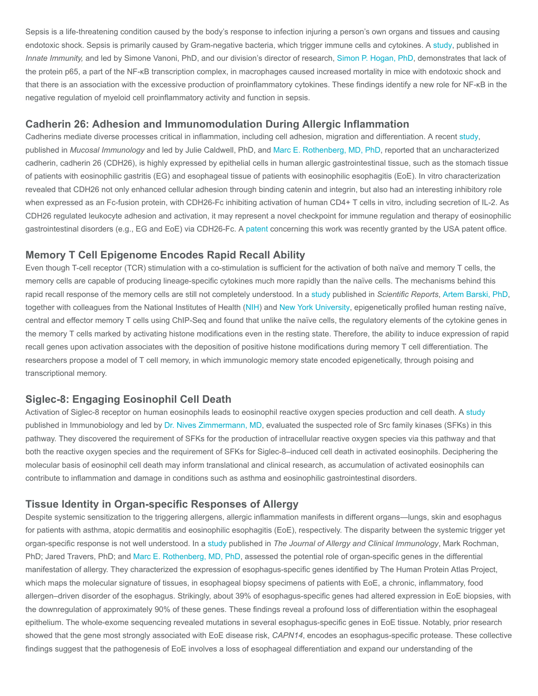Sepsis is a life-threatening condition caused by the body's response to infection injuring a person's own organs and tissues and causing endotoxic shock. Sepsis is primarily caused by Gram-negative bacteria, which trigger immune cells and cytokines. A [study,](https://www.ncbi.nlm.nih.gov/pubmed/27932520) published in Innate Immunity, and led by Simone Vanoni, PhD, and our division's director of research, [Simon P. Hogan, PhD,](https://www.cincinnatichildrens.org/bio/h/simon-hogan) demonstrates that lack of the protein p65, a part of the NF-κB transcription complex, in macrophages caused increased mortality in mice with endotoxic shock and that there is an association with the excessive production of proinflammatory cytokines. These findings identify a new role for NF-κB in the negative regulation of myeloid cell proinflammatory activity and function in sepsis.

#### Cadherin 26: Adhesion and Immunomodulation During Allergic Inflammation

Cadherins mediate diverse processes critical in inflammation, including cell adhesion, migration and differentiation. A recent [study](https://www.ncbi.nlm.nih.gov/pubmed/28051089), published in Mucosal Immunology and led by Julie Caldwell, PhD, and [Marc E. Rothenberg, MD, PhD](https://www.cincinnatichildrens.org/bio/r/marc-rothenberg), reported that an uncharacterized cadherin, cadherin 26 (CDH26), is highly expressed by epithelial cells in human allergic gastrointestinal tissue, such as the stomach tissue of patients with eosinophilic gastritis (EG) and esophageal tissue of patients with eosinophilic esophagitis (EoE). In vitro characterization revealed that CDH26 not only enhanced cellular adhesion through binding catenin and integrin, but also had an interesting inhibitory role when expressed as an Fc-fusion protein, with CDH26-Fc inhibiting activation of human CD4+ T cells in vitro, including secretion of IL-2. As CDH26 regulated leukocyte adhesion and activation, it may represent a novel checkpoint for immune regulation and therapy of eosinophilic gastrointestinal disorders (e.g., EG and EoE) via CDH26-Fc. A [patent](http://patft.uspto.gov/netacgi/nph-Parser?Sect1=PTO1&Sect2=HITOFF&d=PALL&p=1&u=%2Fnetahtml%2FPTO%2Fsrchnum.htm&r=1&f=G&l=50&s1=9,345,763.PN.&OS=PN/9,345,763&RS=PN/9,345,763) concerning this work was recently granted by the USA patent office.

#### Memory T Cell Epigenome Encodes Rapid Recall Ability

Even though T-cell receptor (TCR) stimulation with a co-stimulation is sufficient for the activation of both naïve and memory T cells, the memory cells are capable of producing lineage-specific cytokines much more rapidly than the naïve cells. The mechanisms behind this rapid recall response of the memory cells are still not completely understood. In a [study](https://www.ncbi.nlm.nih.gov/pubmed/28054639) published in Scientific Reports, [Artem Barski, PhD](https://www.cincinnatichildrens.org/bio/b/artem-barski), together with colleagues from the National Institutes of Health ([NIH](https://www.nih.gov/)) and [New York University](https://www.nyu.edu/), epigenetically profiled human resting naïve, central and effector memory T cells using ChIP-Seq and found that unlike the naïve cells, the regulatory elements of the cytokine genes in the memory T cells marked by activating histone modifications even in the resting state. Therefore, the ability to induce expression of rapid recall genes upon activation associates with the deposition of positive histone modifications during memory T cell differentiation. The researchers propose a model of T cell memory, in which immunologic memory state encoded epigenetically, through poising and transcriptional memory.

#### Siglec-8: Engaging Eosinophil Cell Death

Activation of Siglec-8 receptor on human eosinophils leads to eosinophil reactive oxygen species production and cell death. A [study](https://www.ncbi.nlm.nih.gov/pubmed/27682013) published in Immunobiology and led by [Dr. Nives Zimmermann, MD](https://www.cincinnatichildrens.org/bio/z/nives-zimmermann), evaluated the suspected role of Src family kinases (SFKs) in this pathway. They discovered the requirement of SFKs for the production of intracellular reactive oxygen species via this pathway and that both the reactive oxygen species and the requirement of SFKs for Siglec-8–induced cell death in activated eosinophils. Deciphering the molecular basis of eosinophil cell death may inform translational and clinical research, as accumulation of activated eosinophils can contribute to inflammation and damage in conditions such as asthma and eosinophilic gastrointestinal disorders.

#### Tissue Identity in Organ-specific Responses of Allergy

Despite systemic sensitization to the triggering allergens, allergic inflammation manifests in different organs—lungs, skin and esophagus for patients with asthma, atopic dermatitis and eosinophilic esophagitis (EoE), respectively. The disparity between the systemic trigger yet organ-specific response is not well understood. In a [study](https://www.ncbi.nlm.nih.gov/pubmed/28104354) published in The Journal of Allergy and Clinical Immunology, Mark Rochman, PhD; Jared Travers, PhD; and [Marc E. Rothenberg, MD, PhD,](https://www.cincinnatichildrens.org/bio/r/marc-rothenberg) assessed the potential role of organ-specific genes in the differential manifestation of allergy. They characterized the expression of esophagus-specific genes identified by The Human Protein Atlas Project, which maps the molecular signature of tissues, in esophageal biopsy specimens of patients with EoE, a chronic, inflammatory, food allergen–driven disorder of the esophagus. Strikingly, about 39% of esophagus-specific genes had altered expression in EoE biopsies, with the downregulation of approximately 90% of these genes. These findings reveal a profound loss of differentiation within the esophageal epithelium. The whole-exome sequencing revealed mutations in several esophagus-specific genes in EoE tissue. Notably, prior research showed that the gene most strongly associated with EoE disease risk, CAPN14, encodes an esophagus-specific protease. These collective findings suggest that the pathogenesis of EoE involves a loss of esophageal differentiation and expand our understanding of the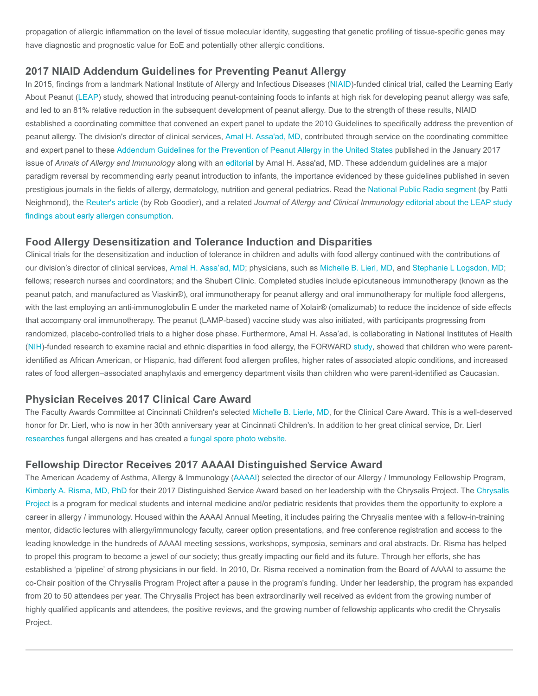propagation of allergic inflammation on the level of tissue molecular identity, suggesting that genetic profiling of tissue-specific genes may have diagnostic and prognostic value for EoE and potentially other allergic conditions.

#### 2017 NIAID Addendum Guidelines for Preventing Peanut Allergy

In 2015, findings from a landmark National Institute of Allergy and Infectious Diseases ([NIAID\)](https://www.niaid.nih.gov/)-funded clinical trial, called the Learning Early About Peanut ([LEAP](http://www.leapstudy.com/)) study, showed that introducing peanut-containing foods to infants at high risk for developing peanut allergy was safe, and led to an 81% relative reduction in the subsequent development of peanut allergy. Due to the strength of these results, NIAID established a coordinating committee that convened an expert panel to update the 2010 Guidelines to specifically address the prevention of peanut allergy. The division's director of clinical services, [Amal H. Assa'ad, MD,](https://www.cincinnatichildrens.org/bio/a/amal-assaad) contributed through service on the coordinating committee and expert panel to these [Addendum Guidelines for the Prevention of Peanut Allergy in the United States](https://www.niaid.nih.gov/diseases-conditions/guidelines-clinicians-and-patients-food-allergy) published in the January 2017 issue of Annals of Allergy and Immunology along with an [editorial](https://www.ncbi.nlm.nih.gov/pubmed/28153078) by Amal H. Assa'ad, MD. These addendum guidelines are a major paradigm reversal by recommending early peanut introduction to infants, the importance evidenced by these guidelines published in seven prestigious journals in the fields of allergy, dermatology, nutrition and general pediatrics. Read the [National Public Radio segment](http://www.npr.org/sections/health-shots/2016/11/11/501594010/hey-baby-meet-peanuts-how-and-when-to-safely-introduce-the-food) (by Patti Neighmond), the [Reuter's article](http://www.reuters.com/article/us-health-allergies-peanuts-idUSKBN1361VW?feedType=RSS&feedName=healthNews&utm_source=feedburner&utm_medium=feed&utm_campaign=Feed%3A+reuters%2FhealthNews+%28Reuters+Health+News%29) (by Rob Goodier), and a related [Journal of Allergy and Clinical Immunology](http://www.jacionline.org/article/S0091-6749(16)30879-X/pdf) editorial about the LEAP study findings about early allergen consumption.

#### Food Allergy Desensitization and Tolerance Induction and Disparities

Clinical trials for the desensitization and induction of tolerance in children and adults with food allergy continued with the contributions of our division's director of clinical services, [Amal H. Assa'ad, MD;](https://www.cincinnatichildrens.org/bio/a/amal-assaad) physicians, such as [Michelle B. Lierl, MD,](https://www.cincinnatichildrens.org/bio/l/michelle-lierl) and [Stephanie L Logsdon, MD;](https://www.cincinnatichildrens.org/bio/l/stephanie-logsdon) fellows; research nurses and coordinators; and the Shubert Clinic. Completed studies include epicutaneous immunotherapy (known as the peanut patch, and manufactured as Viaskin®), oral immunotherapy for peanut allergy and oral immunotherapy for multiple food allergens, with the last employing an anti-immunoglobulin E under the marketed name of Xolair® (omalizumab) to reduce the incidence of side effects that accompany oral immunotherapy. The peanut (LAMP-based) vaccine study was also initiated, with participants progressing from randomized, placebo-controlled trials to a higher dose phase. Furthermore, Amal H. Assa'ad, is collaborating in National Institutes of Health ([NIH\)](https://www.nih.gov/)-funded research to examine racial and ethnic disparities in food allergy, the FORWARD [study,](https://www.ncbi.nlm.nih.gov/pubmed/27888035) showed that children who were parentidentified as African American, or Hispanic, had different food allergen profiles, higher rates of associated atopic conditions, and increased rates of food allergen–associated anaphylaxis and emergency department visits than children who were parent-identified as Caucasian.

#### Physician Receives 2017 Clinical Care Award

The Faculty Awards Committee at Cincinnati Children's selected [Michelle B. Lierle, MD,](https://www.cincinnatichildrens.org/bio/l/michelle-lierl) for the Clinical Care Award. This is a well-deserved honor for Dr. Lierl, who is now in her 30th anniversary year at Cincinnati Children's. In addition to her great clinical service, Dr. Lierl [researches](https://www.cincinnatichildrens.org/research/divisions/a/allergy-immunology/labs/lierl) fungal allergens and has created a [fungal spore photo website](https://sites.google.com/site/fungalspores/welcome-to-the-fungal-spore-photo-site).

#### Fellowship Director Receives 2017 AAAAI Distinguished Service Award

The American Academy of Asthma, Allergy & Immunology ([AAAAI](http://www.aaaai.org/)) selected the director of our Allergy / Immunology Fellowship Program, [Kimberly A. Risma, MD, Ph](https://www.cincinnatichildrens.org/bio/r/kimberly-risma)[D for their 2017 Distinguished Service Award based on her leadership with the Chrysalis Project. The Chrysalis](https://www.aaaai.org/about-aaaai/service-and-stewardship/chrysalis-project) Project is a program for medical students and internal medicine and/or pediatric residents that provides them the opportunity to explore a career in allergy / immunology. Housed within the AAAAI Annual Meeting, it includes pairing the Chrysalis mentee with a fellow-in-training mentor, didactic lectures with allergy/immunology faculty, career option presentations, and free conference registration and access to the leading knowledge in the hundreds of AAAAI meeting sessions, workshops, symposia, seminars and oral abstracts. Dr. Risma has helped to propel this program to become a jewel of our society; thus greatly impacting our field and its future. Through her efforts, she has established a 'pipeline' of strong physicians in our field. In 2010, Dr. Risma received a nomination from the Board of AAAAI to assume the co-Chair position of the Chrysalis Program Project after a pause in the program's funding. Under her leadership, the program has expanded from 20 to 50 attendees per year. The Chrysalis Project has been extraordinarily well received as evident from the growing number of highly qualified applicants and attendees, the positive reviews, and the growing number of fellowship applicants who credit the Chrysalis Project.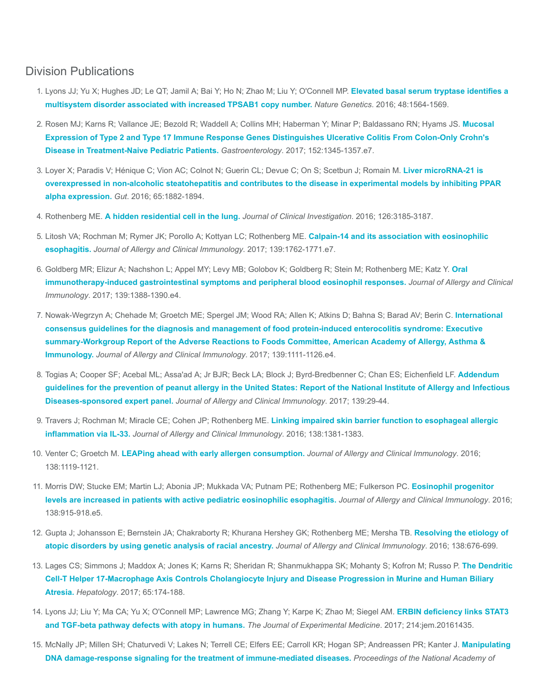## Division Publications

- 1. [Lyons JJ; Yu X; Hughes JD; Le QT; Jamil A; Bai Y; Ho N; Zhao M; Liu Y; O'Connell MP.](https://www.ncbi.nlm.nih.gov/pubmed/27749843) Elevated basal serum tryptase identifies a multisystem disorder associated with increased TPSAB1 copy number. Nature Genetics. 2016; 48:1564-1569.
- 2. [Rosen MJ; Karns R; Vallance JE; Bezold R; Waddell A; Collins MH; Haberman Y; Minar P; Baldassano RN; Hyams JS.](https://www.ncbi.nlm.nih.gov/pubmed/28132889) Mucosal Expression of Type 2 and Type 17 Immune Response Genes Distinguishes Ulcerative Colitis From Colon-Only Crohn's Disease in Treatment-Naive Pediatric Patients. Gastroenterology. 2017; 152:1345-1357.e7.
- 3. Loyer X; Paradis V; Hénique C; Vion AC; Colnot N; Guerin CL; Devue C; On S; Scetbun J; Romain M. Liver microRNA-21 is [overexpressed in non-alcoholic steatohepatitis and contributes to the disease in experimental models by inhibiting PPAR](https://www.ncbi.nlm.nih.gov/pubmed/26338827) alpha expression. Gut. 2016; 65:1882-1894.
- 4. Rothenberg ME. [A hidden residential cell in the lung.](https://www.ncbi.nlm.nih.gov/pubmed/27548525) Journal of Clinical Investigation. 2016; 126:3185-3187.
- 5. [Litosh VA; Rochman M; Rymer JK; Porollo A; Kottyan LC; Rothenberg ME.](https://www.ncbi.nlm.nih.gov/pubmed/28131390) Calpain-14 and its association with eosinophilic esophagitis. Journal of Allergy and Clinical Immunology. 2017; 139:1762-1771.e7.
- 6. [Goldberg MR; Elizur A; Nachshon L; Appel MY; Levy MB; Golobov K; Goldberg R; Stein M; Rothenberg ME; Katz Y.](https://www.ncbi.nlm.nih.gov/pubmed/27913305) Oral immunotherapy-induced gastrointestinal symptoms and peripheral blood eosinophil responses. Journal of Allergy and Clinical Immunology. 2017; 139:1388-1390.e4.
- 7. [Nowak-Wegrzyn A; Chehade M; Groetch ME; Spergel JM; Wood RA; Allen K; Atkins D; Bahna S; Barad AV; Berin C.](https://www.ncbi.nlm.nih.gov/pubmed/28167094) International consensus guidelines for the diagnosis and management of food protein-induced enterocolitis syndrome: Executive summary-Workgroup Report of the Adverse Reactions to Foods Committee, American Academy of Allergy, Asthma & Immunology. Journal of Allergy and Clinical Immunology. 2017; 139:1111-1126.e4.
- 8. [Togias A; Cooper SF; Acebal ML; Assa'ad A; Jr BJR; Beck LA; Block J; Byrd-Bredbenner C; Chan ES; Eichenfield LF.](https://www.ncbi.nlm.nih.gov/pubmed/28065278) Addendum guidelines for the prevention of peanut allergy in the United States: Report of the National Institute of Allergy and Infectious Diseases-sponsored expert panel. Journal of Allergy and Clinical Immunology. 2017; 139:29-44.
- 9. [Travers J; Rochman M; Miracle CE; Cohen JP; Rothenberg ME.](https://www.ncbi.nlm.nih.gov/pubmed/27664378) Linking impaired skin barrier function to esophageal allergic inflammation via IL-33. Journal of Allergy and Clinical Immunology. 2016; 138:1381-1383.
- 10. Venter C; Groetch M. [LEAPing ahead with early allergen consumption.](https://www.ncbi.nlm.nih.gov/pubmed/27566457) Journal of Allergy and Clinical Immunology. 2016; 138:1119-1121.
- 11. [Morris DW; Stucke EM; Martin LJ; Abonia JP; Mukkada VA; Putnam PE; Rothenberg ME; Fulkerson PC.](https://www.ncbi.nlm.nih.gov/pubmed/27199214) Eosinophil progenitor levels are increased in patients with active pediatric eosinophilic esophagitis. Journal of Allergy and Clinical Immunology. 2016; 138:915-918.e5.
- 12. [Gupta J; Johansson E; Bernstein JA; Chakraborty R; Khurana Hershey GK; Rothenberg ME; Mersha TB.](https://www.ncbi.nlm.nih.gov/pubmed/27297995) Resolving the etiology of atopic disorders by using genetic analysis of racial ancestry. Journal of Allergy and Clinical Immunology. 2016; 138:676-699.
- 13. [Lages CS; Simmons J; Maddox A; Jones K; Karns R; Sheridan R; Shanmukhappa SK; Mohanty S; Kofron M; Russo P.](https://www.ncbi.nlm.nih.gov/pubmed/27641439) The Dendritic Cell-T Helper 17-Macrophage Axis Controls Cholangiocyte Injury and Disease Progression in Murine and Human Biliary Atresia. Hepatology. 2017; 65:174-188.
- 14. [Lyons JJ; Liu Y; Ma CA; Yu X; O'Connell MP; Lawrence MG; Zhang Y; Karpe K; Zhao M; Siegel AM.](https://www.ncbi.nlm.nih.gov/pubmed/28126831) ERBIN deficiency links STAT3 and TGF-beta pathway defects with atopy in humans. The Journal of Experimental Medicine. 2017; 214:jem.20161435.
- 15. [McNally JP; Millen SH; Chaturvedi V; Lakes N; Terrell CE; Elfers EE; Carroll KR; Hogan SP; Andreassen PR; Kanter J.](https://www.ncbi.nlm.nih.gov/pubmed/28533414) Manipulating DNA damage-response signaling for the treatment of immune-mediated diseases. Proceedings of the National Academy of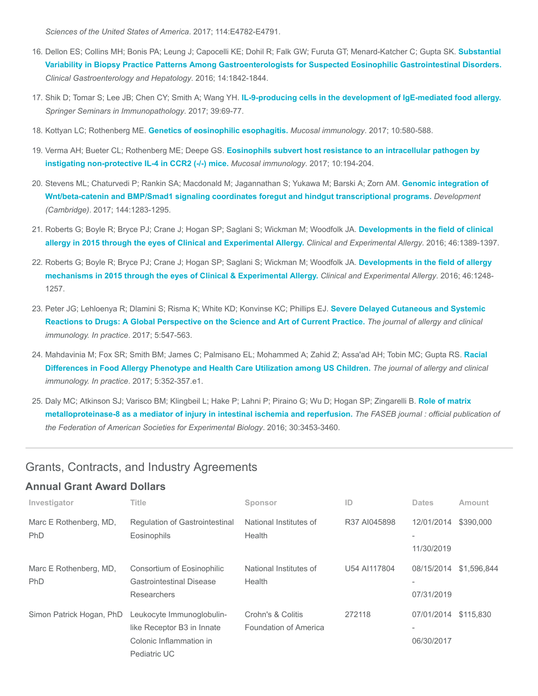Sciences of the United States of America. 2017; 114:E4782-E4791.

- 16. [Dellon ES; Collins MH; Bonis PA; Leung J; Capocelli KE; Dohil R; Falk GW; Furuta GT; Menard-Katcher C; Gupta SK.](https://www.ncbi.nlm.nih.gov/pubmed/27112108) Substantial Variability in Biopsy Practice Patterns Among Gastroenterologists for Suspected Eosinophilic Gastrointestinal Disorders. Clinical Gastroenterology and Hepatology. 2016; 14:1842-1844.
- 17. Shik D; Tomar S; Lee JB; Chen CY; Smith A; Wang YH. [IL-9-producing cells in the development of IgE-mediated food allergy.](https://www.ncbi.nlm.nih.gov/pubmed/27909880) Springer Seminars in Immunopathology. 2017; 39:69-77.
- 18. Kottyan LC; Rothenberg ME. [Genetics of eosinophilic esophagitis.](https://www.ncbi.nlm.nih.gov/pubmed/28224995) Mucosal immunology. 2017; 10:580-588.
- 19. Verma AH; Bueter CL; Rothenberg ME; Deepe GS. [Eosinophils subvert host resistance to an intracellular pathogen by](https://www.ncbi.nlm.nih.gov/pubmed/27049063) instigating non-protective IL-4 in CCR2 (-/-) mice. Mucosal immunology. 2017; 10:194-204.
- 20. [Stevens ML; Chaturvedi P; Rankin SA; Macdonald M; Jagannathan S; Yukawa M; Barski A; Zorn AM.](https://www.ncbi.nlm.nih.gov/pubmed/28219948) Genomic integration of Wnt/beta-catenin and BMP/Smad1 signaling coordinates foregut and hindgut transcriptional programs. Development (Cambridge). 2017; 144:1283-1295.
- 21. [Roberts G; Boyle R; Bryce PJ; Crane J; Hogan SP; Saglani S; Wickman M; Woodfolk JA.](https://www.ncbi.nlm.nih.gov/pubmed/27748974) Developments in the field of clinical allergy in 2015 through the eyes of Clinical and Experimental Allergy. Clinical and Experimental Allergy. 2016; 46:1389-1397.
- 22. [Roberts G; Boyle R; Bryce PJ; Crane J; Hogan SP; Saglani S; Wickman M; Woodfolk JA.](https://www.ncbi.nlm.nih.gov/pubmed/27682977) Developments in the field of allergy mechanisms in 2015 through the eyes of Clinical & Experimental Allergy. Clinical and Experimental Allergy. 2016; 46:1248- 1257.
- 23. [Peter JG; Lehloenya R; Dlamini S; Risma K; White KD; Konvinse KC; Phillips EJ.](https://www.ncbi.nlm.nih.gov/pubmed/28483310) Severe Delayed Cutaneous and Systemic Reactions to Drugs: A Global Perspective on the Science and Art of Current Practice. The journal of allergy and clinical immunology. In practice. 2017; 5:547-563.
- 24. [Mahdavinia M; Fox SR; Smith BM; James C; Palmisano EL; Mohammed A; Zahid Z; Assa'ad AH; Tobin MC; Gupta RS.](https://www.ncbi.nlm.nih.gov/pubmed/27888035) Racial Differences in Food Allergy Phenotype and Health Care Utilization among US Children. The journal of allergy and clinical immunology. In practice. 2017; 5:352-357.e1.
- 25. [Daly MC; Atkinson SJ; Varisco BM; Klingbeil L; Hake P; Lahni P; Piraino G; Wu D; Hogan SP; Zingarelli B.](https://www.ncbi.nlm.nih.gov/pubmed/27435263) Role of matrix metalloproteinase-8 as a mediator of injury in intestinal ischemia and reperfusion. The FASEB journal : official publication of the Federation of American Societies for Experimental Biology. 2016; 30:3453-3460.

#### Grants, Contracts, and Industry Agreements

#### Annual Grant Award Dollars

| Investigator                         | <b>Title</b>                                                                                       | Sponsor                                    | ID           | <b>Dates</b>                                         | Amount      |
|--------------------------------------|----------------------------------------------------------------------------------------------------|--------------------------------------------|--------------|------------------------------------------------------|-------------|
| Marc E Rothenberg, MD,<br><b>PhD</b> | <b>Requlation of Gastrointestinal</b><br>Eosinophils                                               | National Institutes of<br>Health           | R37 AI045898 | 12/01/2014                                           | \$390,000   |
|                                      |                                                                                                    |                                            |              | 11/30/2019                                           |             |
| Marc E Rothenberg, MD,<br>PhD        | Consortium of Eosinophilic<br><b>Gastrointestinal Disease</b><br><b>Researchers</b>                | National Institutes of<br>Health           | U54 AI117804 | 08/15/2014<br>07/31/2019                             | \$1,596,844 |
| Simon Patrick Hogan, PhD             | Leukocyte Immunoglobulin-<br>like Receptor B3 in Innate<br>Colonic Inflammation in<br>Pediatric UC | Crohn's & Colitis<br>Foundation of America | 272118       | 07/01/2014<br>$\overline{\phantom{a}}$<br>06/30/2017 | \$115,830   |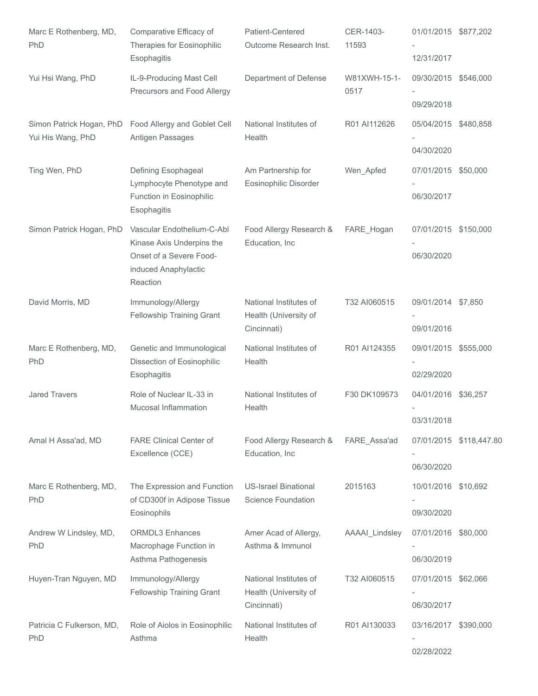| Marc E Rothenberg, MD,<br>PhD    | Comparative Efficacy of<br>Therapies for Eosinophilic<br>Esophagitis                                                   | Patient-Centered<br>Outcome Research Inst.                     | CER-1403-<br>11593   | 01/01/2015 \$877,202<br>12/31/2017 |                         |
|----------------------------------|------------------------------------------------------------------------------------------------------------------------|----------------------------------------------------------------|----------------------|------------------------------------|-------------------------|
| Yui Hsi Wang, PhD                | IL-9-Producing Mast Cell<br>Precursors and Food Allergy                                                                | Department of Defense                                          | W81XWH-15-1-<br>0517 | 09/30/2015 \$546,000<br>09/29/2018 |                         |
| Yui His Wang, PhD                | Simon Patrick Hogan, PhD Food Allergy and Goblet Cell<br>Antigen Passages                                              | National Institutes of<br>Health                               | R01 AI112626         | 05/04/2015 \$480,858<br>04/30/2020 |                         |
| Ting Wen, PhD                    | Defining Esophageal<br>Lymphocyte Phenotype and<br>Function in Eosinophilic<br>Esophagitis                             | Am Partnership for<br>Eosinophilic Disorder                    | Wen_Apfed            | 07/01/2015 \$50,000<br>06/30/2017  |                         |
| Simon Patrick Hogan, PhD         | Vascular Endothelium-C-Abl<br>Kinase Axis Underpins the<br>Onset of a Severe Food-<br>induced Anaphylactic<br>Reaction | Food Allergy Research &<br>Education, Inc                      | FARE_Hogan           | 07/01/2015 \$150,000<br>06/30/2020 |                         |
| David Morris, MD                 | Immunology/Allergy<br>Fellowship Training Grant                                                                        | National Institutes of<br>Health (University of<br>Cincinnati) | T32 AI060515         | 09/01/2014 \$7,850<br>09/01/2016   |                         |
| Marc E Rothenberg, MD,<br>PhD    | Genetic and Immunological<br>Dissection of Eosinophilic<br>Esophagitis                                                 | National Institutes of<br>Health                               | R01 AI124355         | 09/01/2015 \$555,000<br>02/29/2020 |                         |
| <b>Jared Travers</b>             | Role of Nuclear IL-33 in<br>Mucosal Inflammation                                                                       | National Institutes of<br>Health                               | F30 DK109573         | 04/01/2016 \$36,257<br>03/31/2018  |                         |
| Amal H Assa'ad, MD               | <b>FARE Clinical Center of</b><br>Excellence (CCE)                                                                     | Food Allergy Research &<br>Education, Inc                      | FARE_Assa'ad         | 06/30/2020                         | 07/01/2015 \$118,447.80 |
| Marc E Rothenberg, MD,<br>PhD    | The Expression and Function<br>of CD300f in Adipose Tissue<br>Eosinophils                                              | <b>US-Israel Binational</b><br>Science Foundation              | 2015163              | 10/01/2016 \$10,692<br>09/30/2020  |                         |
| Andrew W Lindsley, MD,<br>PhD    | <b>ORMDL3</b> Enhances<br>Macrophage Function in<br>Asthma Pathogenesis                                                | Amer Acad of Allergy,<br>Asthma & Immunol                      | AAAAI_Lindsley       | 07/01/2016 \$80,000<br>06/30/2019  |                         |
| Huyen-Tran Nguyen, MD            | Immunology/Allergy<br>Fellowship Training Grant                                                                        | National Institutes of<br>Health (University of<br>Cincinnati) | T32 AI060515         | 07/01/2015 \$62,066<br>06/30/2017  |                         |
| Patricia C Fulkerson, MD,<br>PhD | Role of Aiolos in Eosinophilic<br>Asthma                                                                               | National Institutes of<br>Health                               | R01 AI130033         | 03/16/2017<br>02/28/2022           | \$390,000               |